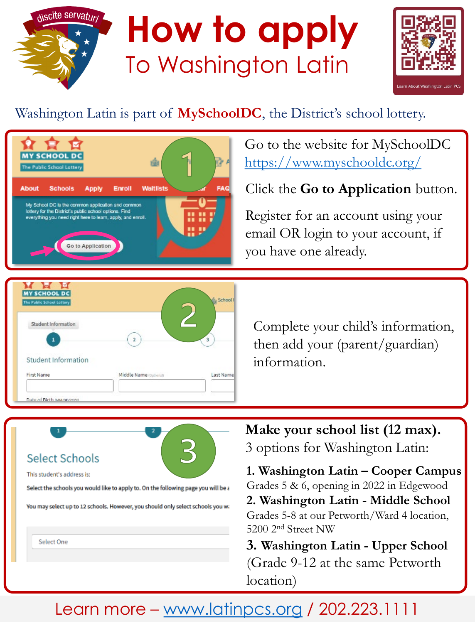



## Washington Latin is part of **MySchoolDC**, the District's school lottery.



Go to the website for MySchoolDC <https://www.myschooldc.org/>

Click the **Go to Application** button.

Register for an account using your email OR login to your account, if you have one already.



Select the schools you would like to apply to. On the following page you will be a

You may select up to 12 schools. However, you should only select schools you wa

**Select Schools** 

This student's address is:

Select One

Complete your child's information, then add your (parent/guardian) information.

**Make your school list (12 max).** 3 options for Washington Latin:

**1. Washington Latin – Cooper Campus** Grades 5 & 6, opening in 2022 in Edgewood **2. Washington Latin - Middle School** Grades 5-8 at our Petworth/Ward 4 location, 5200 2nd Street NW

**3. Washington Latin - Upper School** (Grade 9-12 at the same Petworth location)

## Learn more – [www.latinpcs.org](http://www.latinpcs.org/) / 202.223.1111